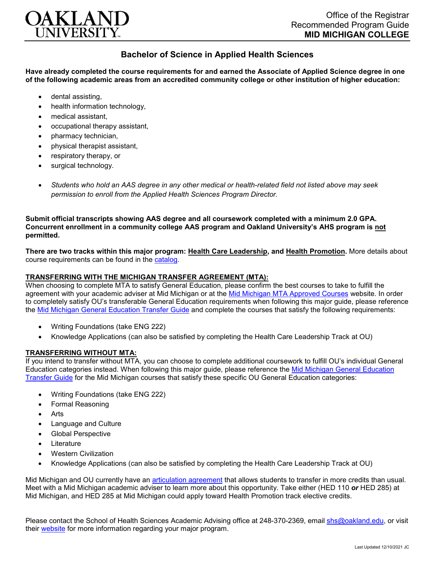

## **Bachelor of Science in Applied Health Sciences**

**Have already completed the course requirements for and earned the Associate of Applied Science degree in one of the following academic areas from an accredited community college or other institution of higher education:**

- dental assisting,
- health information technology.
- medical assistant,
- occupational therapy assistant,
- pharmacy technician,
- physical therapist assistant,
- respiratory therapy, or
- surgical technology.
- *Students who hold an AAS degree in any other medical or health-related field not listed above may seek permission to enroll from the Applied Health Sciences Program Director.*

**Submit official transcripts showing AAS degree and all coursework completed with a minimum 2.0 GPA. Concurrent enrollment in a community college AAS program and Oakland University's AHS program is not permitted.**

**There are two tracks within this major program: Health Care Leadership, and Health Promotion.** More details about course requirements can be found in the [catalog.](http://catalog.oakland.edu/preview_program.php?catoid=53&poid=8649)

## **TRANSFERRING WITH THE MICHIGAN TRANSFER AGREEMENT (MTA):**

When choosing to complete MTA to satisfy General Education, please confirm the best courses to take to fulfill the agreement with your academic adviser at Mid Michigan or at the [Mid Michigan MTA Approved Courses](https://www.midmich.edu/academics/transfer/mta) website. In order to completely satisfy OU's transferable General Education requirements when following this major guide, please reference the [Mid Michigan General Education Transfer Guide](https://www.oakland.edu/Assets/Oakland/program-guides/mid-michigan-community-college/university-general-education-requirements/Mid%20Michigan%20Gen%20Ed.pdf) and complete the courses that satisfy the following requirements:

- Writing Foundations (take ENG 222)
- Knowledge Applications (can also be satisfied by completing the Health Care Leadership Track at OU)

## **TRANSFERRING WITHOUT MTA:**

If you intend to transfer without MTA, you can choose to complete additional coursework to fulfill OU's individual General Education categories instead. When following this major guide, please reference the [Mid Michigan General Education](https://www.oakland.edu/Assets/Oakland/program-guides/mid-michigan-community-college/university-general-education-requirements/Mid%20Michigan%20Gen%20Ed.pdf)  [Transfer Guide](https://www.oakland.edu/Assets/Oakland/program-guides/mid-michigan-community-college/university-general-education-requirements/Mid%20Michigan%20Gen%20Ed.pdf) for the Mid Michigan courses that satisfy these specific OU General Education categories:

- Writing Foundations (take ENG 222)
- Formal Reasoning
- Arts
- Language and Culture
- Global Perspective
- **Literature**
- Western Civilization
- Knowledge Applications (can also be satisfied by completing the Health Care Leadership Track at OU)

Mid Michigan and OU currently have an [articulation agreement](https://www.oakland.edu/Assets/Oakland/articulation-agreements/mid-michigan-community-college/Mid%20Mich%20AHS%20AA.pdf) that allows students to transfer in more credits than usual. Meet with a Mid Michigan academic adviser to learn more about this opportunity. Take either (HED 110 *or* HED 285) at Mid Michigan, and HED 285 at Mid Michigan could apply toward Health Promotion track elective credits.

Please contact the School of Health Sciences Academic Advising office at 248-370-2369, email [shs@oakland.edu,](mailto:shs@oakland.edu) or visit their [website](http://www.oakland.edu/shs/advising) for more information regarding your major program.